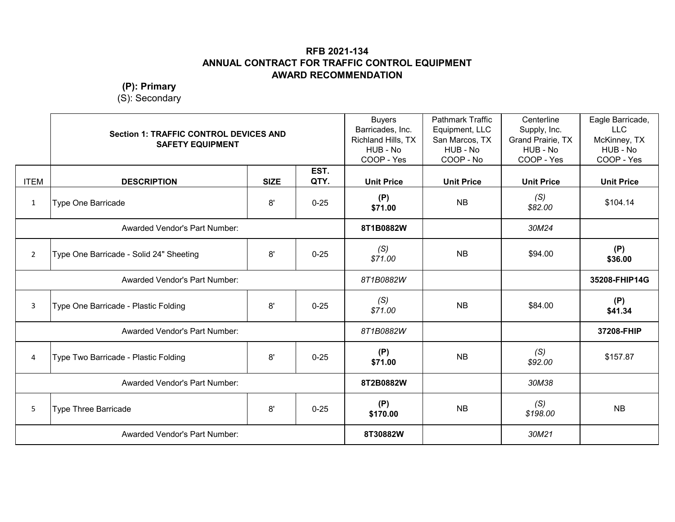**(P): Primary**

|                | <b>Section 1: TRAFFIC CONTROL DEVICES AND</b><br><b>SAFETY EQUIPMENT</b> |             | <b>Buyers</b><br>Barricades, Inc.<br>Richland Hills, TX<br>HUB - No<br>COOP - Yes | <b>Pathmark Traffic</b><br>Equipment, LLC<br>San Marcos, TX<br>HUB - No<br>COOP - No | Centerline<br>Supply, Inc.<br>Grand Prairie, TX<br>HUB - No<br>COOP - Yes | Eagle Barricade,<br><b>LLC</b><br>McKinney, TX<br>HUB - No<br>COOP - Yes |                   |
|----------------|--------------------------------------------------------------------------|-------------|-----------------------------------------------------------------------------------|--------------------------------------------------------------------------------------|---------------------------------------------------------------------------|--------------------------------------------------------------------------|-------------------|
| <b>ITEM</b>    | <b>DESCRIPTION</b>                                                       | <b>SIZE</b> | EST.<br>QTY.                                                                      | <b>Unit Price</b>                                                                    | <b>Unit Price</b>                                                         | <b>Unit Price</b>                                                        | <b>Unit Price</b> |
| $\mathbf{1}$   | <b>Type One Barricade</b>                                                | 8'          | $0 - 25$                                                                          | (P)<br>\$71.00                                                                       | <b>NB</b>                                                                 | (S)<br>\$82.00                                                           | \$104.14          |
|                | <b>Awarded Vendor's Part Number:</b>                                     |             |                                                                                   | 8T1B0882W                                                                            |                                                                           | 30M24                                                                    |                   |
| $\overline{2}$ | Type One Barricade - Solid 24" Sheeting                                  | 8'          | $0 - 25$                                                                          | (S)<br>\$71.00                                                                       | <b>NB</b>                                                                 | \$94.00                                                                  | (P)<br>\$36.00    |
|                | <b>Awarded Vendor's Part Number:</b>                                     |             |                                                                                   | 8T1B0882W                                                                            |                                                                           |                                                                          | 35208-FHIP14G     |
| $\mathbf{3}$   | Type One Barricade - Plastic Folding                                     | 8'          | $0 - 25$                                                                          | (S)<br>\$71.00                                                                       | <b>NB</b>                                                                 | \$84.00                                                                  | (P)<br>\$41.34    |
|                | Awarded Vendor's Part Number:                                            |             |                                                                                   | 8T1B0882W                                                                            |                                                                           |                                                                          | 37208-FHIP        |
| 4              | Type Two Barricade - Plastic Folding                                     | 8'          | $0 - 25$                                                                          | (P)<br>\$71.00                                                                       | <b>NB</b>                                                                 | (S)<br>\$92.00                                                           | \$157.87          |
|                | <b>Awarded Vendor's Part Number:</b>                                     |             |                                                                                   | 8T2B0882W                                                                            |                                                                           | 30M38                                                                    |                   |
| 5 <sup>1</sup> | <b>Type Three Barricade</b>                                              | 8'          | $0 - 25$                                                                          | (P)<br>\$170.00                                                                      | <b>NB</b>                                                                 | (S)<br>\$198.00                                                          | <b>NB</b>         |
|                | <b>Awarded Vendor's Part Number:</b>                                     |             |                                                                                   | 8T30882W                                                                             |                                                                           | 30M21                                                                    |                   |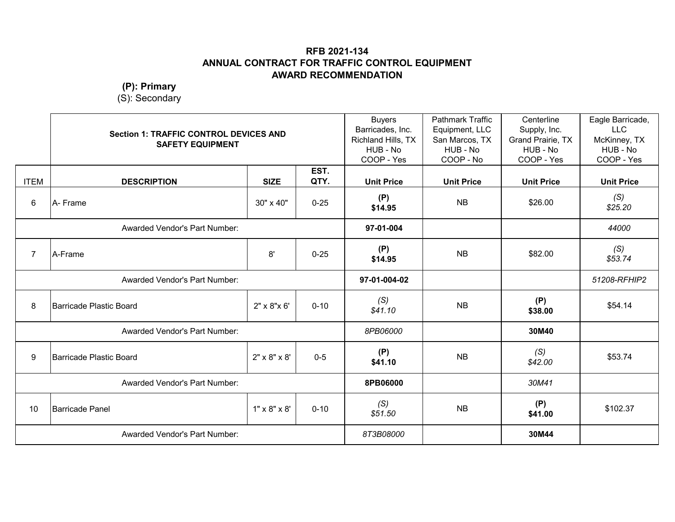**(P): Primary**

|                | <b>Section 1: TRAFFIC CONTROL DEVICES AND</b><br><b>SAFETY EQUIPMENT</b> |                          | <b>Buyers</b><br>Barricades, Inc.<br>Richland Hills, TX<br>HUB - No<br>COOP - Yes | <b>Pathmark Traffic</b><br>Equipment, LLC<br>San Marcos, TX<br>HUB - No<br>COOP - No | Centerline<br>Supply, Inc.<br>Grand Prairie, TX<br>HUB - No<br>COOP - Yes | Eagle Barricade,<br><b>LLC</b><br>McKinney, TX<br>HUB - No<br>COOP - Yes |                   |
|----------------|--------------------------------------------------------------------------|--------------------------|-----------------------------------------------------------------------------------|--------------------------------------------------------------------------------------|---------------------------------------------------------------------------|--------------------------------------------------------------------------|-------------------|
| <b>ITEM</b>    | <b>DESCRIPTION</b>                                                       | <b>SIZE</b>              | EST.<br>QTY.                                                                      | <b>Unit Price</b>                                                                    | <b>Unit Price</b>                                                         | <b>Unit Price</b>                                                        | <b>Unit Price</b> |
| 6              | A- Frame                                                                 | 30" x 40"                | $0 - 25$                                                                          | (P)<br>\$14.95                                                                       | <b>NB</b>                                                                 | \$26.00                                                                  | (S)<br>\$25.20    |
|                | Awarded Vendor's Part Number:                                            |                          |                                                                                   | 97-01-004                                                                            |                                                                           |                                                                          | 44000             |
| $\overline{7}$ | A-Frame                                                                  | 8'                       | $0 - 25$                                                                          | (P)<br>\$14.95                                                                       | <b>NB</b>                                                                 | \$82.00                                                                  | (S)<br>\$53.74    |
|                | Awarded Vendor's Part Number:                                            |                          |                                                                                   | 97-01-004-02                                                                         |                                                                           |                                                                          | 51208-RFHIP2      |
| 8              | Barricade Plastic Board                                                  | 2" x 8" x 6"             | $0 - 10$                                                                          | (S)<br>\$41.10                                                                       | <b>NB</b>                                                                 | (P)<br>\$38.00                                                           | \$54.14           |
|                | Awarded Vendor's Part Number:                                            |                          |                                                                                   | 8PB06000                                                                             |                                                                           | 30M40                                                                    |                   |
| 9              | Barricade Plastic Board                                                  | $2" \times 8" \times 8'$ | $0 - 5$                                                                           | (P)<br>\$41.10                                                                       | <b>NB</b>                                                                 | (S)<br>\$42.00                                                           | \$53.74           |
|                | Awarded Vendor's Part Number:                                            |                          |                                                                                   | 8PB06000                                                                             |                                                                           | 30M41                                                                    |                   |
| 10             | <b>Barricade Panel</b>                                                   | $1" \times 8" \times 8'$ | $0 - 10$                                                                          | (S)<br>\$51.50                                                                       | <b>NB</b>                                                                 | (P)<br>\$41.00                                                           | \$102.37          |
|                | <b>Awarded Vendor's Part Number:</b>                                     |                          |                                                                                   | 8T3B08000                                                                            |                                                                           | 30M44                                                                    |                   |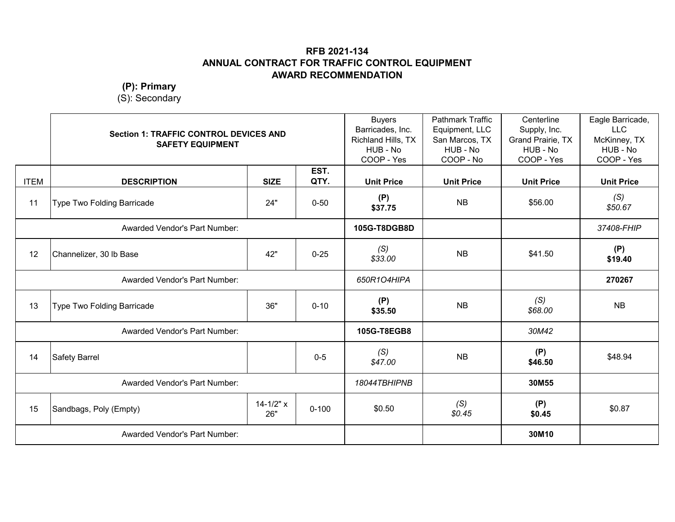**(P): Primary**

|             | <b>Section 1: TRAFFIC CONTROL DEVICES AND</b><br><b>SAFETY EQUIPMENT</b> |                      | <b>Buyers</b><br>Barricades, Inc.<br>Richland Hills, TX<br>HUB - No<br>COOP - Yes | <b>Pathmark Traffic</b><br>Equipment, LLC<br>San Marcos, TX<br>HUB - No<br>COOP - No | Centerline<br>Supply, Inc.<br>Grand Prairie, TX<br>HUB - No<br>COOP - Yes | Eagle Barricade,<br><b>LLC</b><br>McKinney, TX<br>HUB - No<br>COOP - Yes |                   |
|-------------|--------------------------------------------------------------------------|----------------------|-----------------------------------------------------------------------------------|--------------------------------------------------------------------------------------|---------------------------------------------------------------------------|--------------------------------------------------------------------------|-------------------|
| <b>ITEM</b> | <b>DESCRIPTION</b>                                                       | <b>SIZE</b>          | EST.<br>QTY.                                                                      | <b>Unit Price</b>                                                                    | <b>Unit Price</b>                                                         | <b>Unit Price</b>                                                        | <b>Unit Price</b> |
| 11          | Type Two Folding Barricade                                               | 24"                  | $0 - 50$                                                                          | (P)<br>\$37.75                                                                       | <b>NB</b>                                                                 | \$56.00                                                                  | (S)<br>\$50.67    |
|             | Awarded Vendor's Part Number:                                            |                      |                                                                                   | 105G-T8DGB8D                                                                         |                                                                           |                                                                          | 37408-FHIP        |
| 12          | Channelizer, 30 lb Base                                                  | 42"                  | $0 - 25$                                                                          | (S)<br>\$33.00                                                                       | <b>NB</b>                                                                 | \$41.50                                                                  | (P)<br>\$19.40    |
|             | <b>Awarded Vendor's Part Number:</b>                                     |                      |                                                                                   | 650R1O4HIPA                                                                          |                                                                           |                                                                          | 270267            |
| 13          | Type Two Folding Barricade                                               | 36"                  | $0 - 10$                                                                          | (P)<br>\$35.50                                                                       | <b>NB</b>                                                                 | (S)<br>\$68.00                                                           | <b>NB</b>         |
|             | Awarded Vendor's Part Number:                                            |                      |                                                                                   | 105G-T8EGB8                                                                          |                                                                           | 30M42                                                                    |                   |
| 14          | Safety Barrel                                                            |                      | $0-5$                                                                             | (S)<br>\$47.00                                                                       | <b>NB</b>                                                                 | (P)<br>\$46.50                                                           | \$48.94           |
|             | Awarded Vendor's Part Number:                                            |                      |                                                                                   | 18044TBHIPNB                                                                         |                                                                           | 30M55                                                                    |                   |
| 15          | Sandbags, Poly (Empty)                                                   | $14 - 1/2" x$<br>26" | $0 - 100$                                                                         | \$0.50                                                                               | (S)<br>\$0.45                                                             | (P)<br>\$0.45                                                            | \$0.87            |
|             | <b>Awarded Vendor's Part Number:</b>                                     |                      |                                                                                   |                                                                                      |                                                                           | 30M10                                                                    |                   |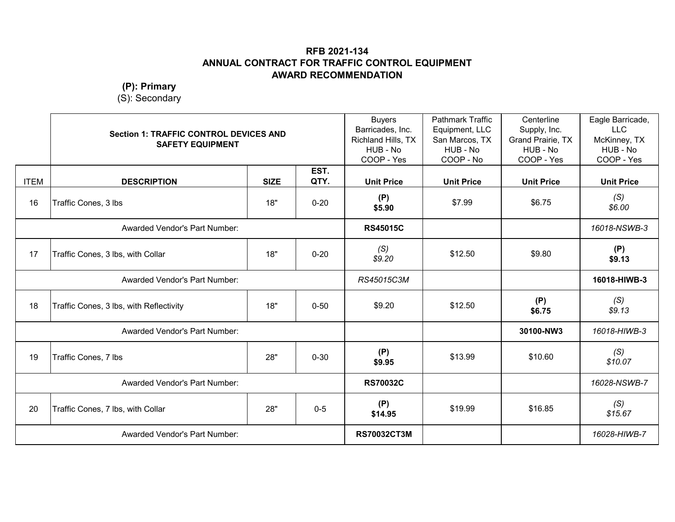**(P): Primary**

|             | <b>Section 1: TRAFFIC CONTROL DEVICES AND</b><br><b>SAFETY EQUIPMENT</b> |             |              | <b>Buyers</b><br>Barricades, Inc.<br>Richland Hills, TX<br>HUB - No<br>COOP - Yes | <b>Pathmark Traffic</b><br>Equipment, LLC<br>San Marcos, TX<br>HUB - No<br>COOP - No | Centerline<br>Supply, Inc.<br>Grand Prairie, TX<br>HUB - No<br>COOP - Yes | Eagle Barricade,<br><b>LLC</b><br>McKinney, TX<br>HUB - No<br>COOP - Yes |
|-------------|--------------------------------------------------------------------------|-------------|--------------|-----------------------------------------------------------------------------------|--------------------------------------------------------------------------------------|---------------------------------------------------------------------------|--------------------------------------------------------------------------|
| <b>ITEM</b> | <b>DESCRIPTION</b>                                                       | <b>SIZE</b> | EST.<br>QTY. | <b>Unit Price</b>                                                                 | <b>Unit Price</b>                                                                    | <b>Unit Price</b>                                                         | <b>Unit Price</b>                                                        |
| 16          | Traffic Cones, 3 lbs                                                     | 18"         | $0 - 20$     | (P)<br>\$5.90                                                                     | \$7.99                                                                               | \$6.75                                                                    | (S)<br>\$6.00                                                            |
|             | Awarded Vendor's Part Number:                                            |             |              | <b>RS45015C</b>                                                                   |                                                                                      |                                                                           | 16018-NSWB-3                                                             |
| 17          | Traffic Cones, 3 lbs, with Collar                                        | 18"         | $0 - 20$     | (S)<br>\$9.20                                                                     | \$12.50                                                                              | \$9.80                                                                    | (P)<br>\$9.13                                                            |
|             | <b>Awarded Vendor's Part Number:</b>                                     |             |              | RS45015C3M                                                                        |                                                                                      |                                                                           | 16018-HIWB-3                                                             |
| 18          | Traffic Cones, 3 lbs, with Reflectivity                                  | 18"         | $0 - 50$     | \$9.20                                                                            | \$12.50                                                                              | (P)<br>\$6.75                                                             | (S)<br>\$9.13                                                            |
|             | Awarded Vendor's Part Number:                                            |             |              |                                                                                   |                                                                                      | 30100-NW3                                                                 | 16018-HIWB-3                                                             |
| 19          | Traffic Cones, 7 lbs                                                     | 28"         | $0 - 30$     | (P)<br>\$9.95                                                                     | \$13.99                                                                              | \$10.60                                                                   | (S)<br>\$10.07                                                           |
|             | Awarded Vendor's Part Number:                                            |             |              | <b>RS70032C</b>                                                                   |                                                                                      |                                                                           | 16028-NSWB-7                                                             |
| 20          | Traffic Cones, 7 lbs, with Collar                                        | 28"         | $0-5$        | (P)<br>\$14.95                                                                    | \$19.99                                                                              | \$16.85                                                                   | (S)<br>\$15.67                                                           |
|             | <b>Awarded Vendor's Part Number:</b>                                     |             |              | <b>RS70032CT3M</b>                                                                |                                                                                      |                                                                           | 16028-HIWB-7                                                             |
|             |                                                                          |             |              |                                                                                   |                                                                                      |                                                                           |                                                                          |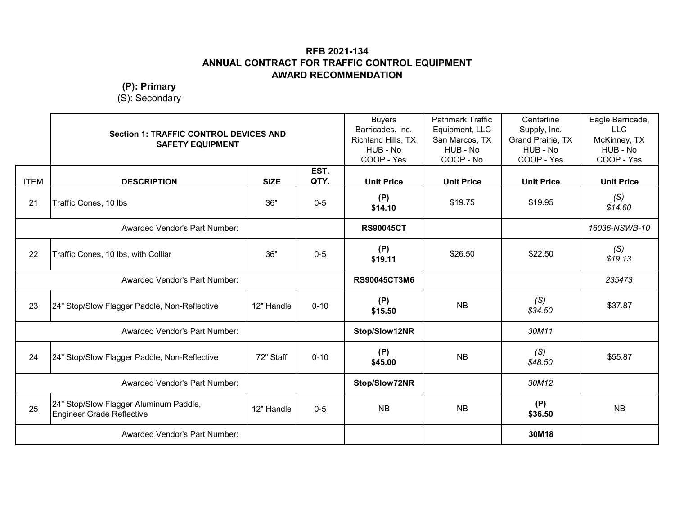**(P): Primary**

|             | <b>Section 1: TRAFFIC CONTROL DEVICES AND</b><br><b>SAFETY EQUIPMENT</b>   |             | <b>Buyers</b><br>Barricades, Inc.<br>Richland Hills, TX<br>HUB - No<br>COOP - Yes | <b>Pathmark Traffic</b><br>Equipment, LLC<br>San Marcos, TX<br>HUB - No<br>COOP - No | Centerline<br>Supply, Inc.<br>Grand Prairie, TX<br>HUB - No<br>COOP - Yes | Eagle Barricade,<br><b>LLC</b><br>McKinney, TX<br>HUB - No<br>COOP - Yes |                   |
|-------------|----------------------------------------------------------------------------|-------------|-----------------------------------------------------------------------------------|--------------------------------------------------------------------------------------|---------------------------------------------------------------------------|--------------------------------------------------------------------------|-------------------|
| <b>ITEM</b> | <b>DESCRIPTION</b>                                                         | <b>SIZE</b> | EST.<br>QTY.                                                                      | <b>Unit Price</b>                                                                    | <b>Unit Price</b>                                                         | <b>Unit Price</b>                                                        | <b>Unit Price</b> |
| 21          | Traffic Cones, 10 lbs                                                      | 36"         | $0-5$                                                                             | (P)<br>\$14.10                                                                       | \$19.75                                                                   | \$19.95                                                                  | (S)<br>\$14.60    |
|             | <b>Awarded Vendor's Part Number:</b>                                       |             |                                                                                   | <b>RS90045CT</b>                                                                     |                                                                           |                                                                          | 16036-NSWB-10     |
| 22          | Traffic Cones, 10 lbs, with Colllar                                        | 36"         | $0-5$                                                                             | (P)<br>\$19.11                                                                       | \$26.50                                                                   | \$22.50                                                                  | (S)<br>\$19.13    |
|             | Awarded Vendor's Part Number:                                              |             |                                                                                   | <b>RS90045CT3M6</b>                                                                  |                                                                           |                                                                          | 235473            |
| 23          | 24" Stop/Slow Flagger Paddle, Non-Reflective                               | 12" Handle  | $0 - 10$                                                                          | (P)<br>\$15.50                                                                       | <b>NB</b>                                                                 | (S)<br>\$34.50                                                           | \$37.87           |
|             | Awarded Vendor's Part Number:                                              |             |                                                                                   | Stop/Slow12NR                                                                        |                                                                           | 30M11                                                                    |                   |
| 24          | 24" Stop/Slow Flagger Paddle, Non-Reflective                               | 72" Staff   | $0 - 10$                                                                          | (P)<br>\$45.00                                                                       | <b>NB</b>                                                                 | (S)<br>\$48.50                                                           | \$55.87           |
|             | Awarded Vendor's Part Number:                                              |             |                                                                                   | Stop/Slow72NR                                                                        |                                                                           | 30M12                                                                    |                   |
| 25          | 24" Stop/Slow Flagger Aluminum Paddle,<br><b>Engineer Grade Reflective</b> | 12" Handle  | $0-5$                                                                             | <b>NB</b>                                                                            | <b>NB</b>                                                                 | (P)<br>\$36.50                                                           | <b>NB</b>         |
|             | <b>Awarded Vendor's Part Number:</b>                                       |             |                                                                                   |                                                                                      |                                                                           | 30M18                                                                    |                   |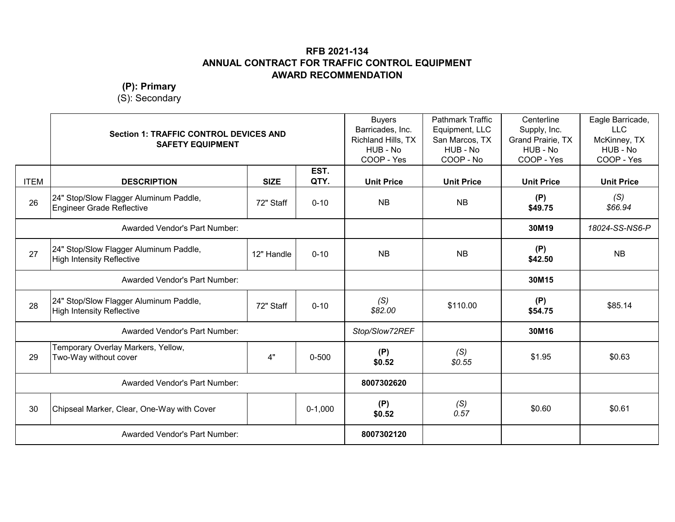**(P): Primary**

|             | <b>SAFETY EQUIPMENT</b>                                             | <b>Section 1: TRAFFIC CONTROL DEVICES AND</b> |              | <b>Buyers</b><br>Barricades, Inc.<br>Richland Hills, TX<br>HUB - No<br>COOP - Yes | <b>Pathmark Traffic</b><br>Equipment, LLC<br>San Marcos, TX<br>HUB - No<br>COOP - No | Centerline<br>Supply, Inc.<br>Grand Prairie, TX<br>HUB - No<br>COOP - Yes | Eagle Barricade,<br><b>LLC</b><br>McKinney, TX<br>HUB - No<br>COOP - Yes |
|-------------|---------------------------------------------------------------------|-----------------------------------------------|--------------|-----------------------------------------------------------------------------------|--------------------------------------------------------------------------------------|---------------------------------------------------------------------------|--------------------------------------------------------------------------|
| <b>ITEM</b> | <b>DESCRIPTION</b>                                                  | <b>SIZE</b>                                   | EST.<br>QTY. | <b>Unit Price</b>                                                                 | <b>Unit Price</b>                                                                    | <b>Unit Price</b>                                                         | <b>Unit Price</b>                                                        |
| 26          | 24" Stop/Slow Flagger Aluminum Paddle,<br>Engineer Grade Reflective | 72" Staff                                     | $0 - 10$     | <b>NB</b>                                                                         | <b>NB</b>                                                                            | (P)<br>\$49.75                                                            | (S)<br>\$66.94                                                           |
|             | Awarded Vendor's Part Number:                                       |                                               |              |                                                                                   |                                                                                      | 30M19                                                                     | 18024-SS-NS6-P                                                           |
| 27          | 24" Stop/Slow Flagger Aluminum Paddle,<br>High Intensity Reflective | 12" Handle                                    | $0 - 10$     | <b>NB</b>                                                                         | <b>NB</b>                                                                            | (P)<br>\$42.50                                                            | <b>NB</b>                                                                |
|             | <b>Awarded Vendor's Part Number:</b>                                |                                               |              |                                                                                   |                                                                                      | 30M15                                                                     |                                                                          |
| 28          | 24" Stop/Slow Flagger Aluminum Paddle,<br>High Intensity Reflective | 72" Staff                                     | $0 - 10$     | (S)<br>\$82.00                                                                    | \$110.00                                                                             | (P)<br>\$54.75                                                            | \$85.14                                                                  |
|             | Awarded Vendor's Part Number:                                       |                                               |              | Stop/Slow72REF                                                                    |                                                                                      | 30M16                                                                     |                                                                          |
| 29          | Temporary Overlay Markers, Yellow,<br>Two-Way without cover         | 4"                                            | $0 - 500$    | (P)<br>\$0.52                                                                     | (S)<br>\$0.55                                                                        | \$1.95                                                                    | \$0.63                                                                   |
|             | Awarded Vendor's Part Number:                                       |                                               |              | 8007302620                                                                        |                                                                                      |                                                                           |                                                                          |
| 30          | Chipseal Marker, Clear, One-Way with Cover                          |                                               | $0-1,000$    | (P)<br>\$0.52                                                                     | (S)<br>0.57                                                                          | \$0.60                                                                    | \$0.61                                                                   |
|             | <b>Awarded Vendor's Part Number:</b>                                |                                               |              | 8007302120                                                                        |                                                                                      |                                                                           |                                                                          |
|             |                                                                     |                                               |              |                                                                                   |                                                                                      |                                                                           |                                                                          |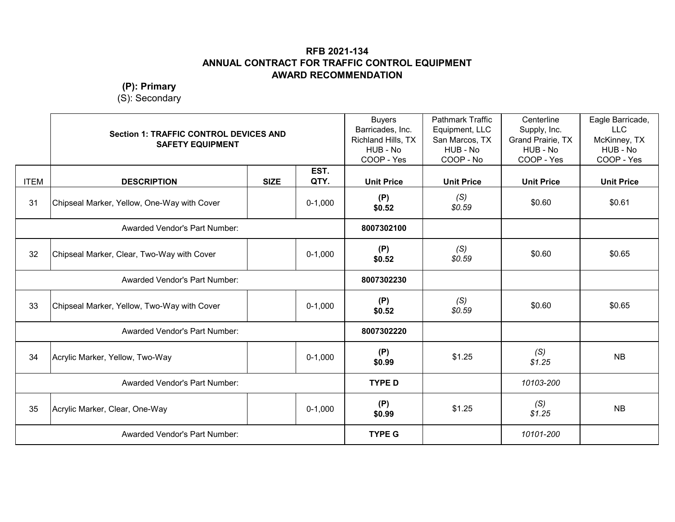**(P): Primary**

|             | <b>Section 1: TRAFFIC CONTROL DEVICES AND</b><br><b>SAFETY EQUIPMENT</b> |             |              | <b>Buyers</b><br>Barricades, Inc.<br>Richland Hills, TX<br>HUB - No<br>COOP - Yes | <b>Pathmark Traffic</b><br>Equipment, LLC<br>San Marcos, TX<br>HUB - No<br>COOP - No | Centerline<br>Supply, Inc.<br>Grand Prairie, TX<br>HUB - No<br>COOP - Yes | Eagle Barricade,<br><b>LLC</b><br>McKinney, TX<br>HUB - No<br>COOP - Yes |
|-------------|--------------------------------------------------------------------------|-------------|--------------|-----------------------------------------------------------------------------------|--------------------------------------------------------------------------------------|---------------------------------------------------------------------------|--------------------------------------------------------------------------|
| <b>ITEM</b> | <b>DESCRIPTION</b>                                                       | <b>SIZE</b> | EST.<br>QTY. | <b>Unit Price</b>                                                                 | <b>Unit Price</b>                                                                    | <b>Unit Price</b>                                                         | <b>Unit Price</b>                                                        |
| 31          | Chipseal Marker, Yellow, One-Way with Cover                              |             | $0-1,000$    | (P)<br>\$0.52                                                                     | (S)<br>\$0.59                                                                        | \$0.60                                                                    | \$0.61                                                                   |
|             | Awarded Vendor's Part Number:                                            |             |              | 8007302100                                                                        |                                                                                      |                                                                           |                                                                          |
| 32          | Chipseal Marker, Clear, Two-Way with Cover                               |             | $0-1,000$    | (P)<br>\$0.52                                                                     | (S)<br>\$0.59                                                                        | \$0.60                                                                    | \$0.65                                                                   |
|             | <b>Awarded Vendor's Part Number:</b>                                     |             |              | 8007302230                                                                        |                                                                                      |                                                                           |                                                                          |
| 33          | Chipseal Marker, Yellow, Two-Way with Cover                              |             | $0-1,000$    | (P)<br>\$0.52                                                                     | (S)<br>\$0.59                                                                        | \$0.60                                                                    | \$0.65                                                                   |
|             | Awarded Vendor's Part Number:                                            |             |              | 8007302220                                                                        |                                                                                      |                                                                           |                                                                          |
| 34          | Acrylic Marker, Yellow, Two-Way                                          |             | $0-1,000$    | (P)<br>\$0.99                                                                     | \$1.25                                                                               | (S)<br>\$1.25                                                             | <b>NB</b>                                                                |
|             | Awarded Vendor's Part Number:                                            |             |              | <b>TYPE D</b>                                                                     |                                                                                      | 10103-200                                                                 |                                                                          |
| 35          | Acrylic Marker, Clear, One-Way                                           |             | $0-1,000$    | (P)<br>\$0.99                                                                     | \$1.25                                                                               | (S)<br>\$1.25                                                             | <b>NB</b>                                                                |
|             | <b>Awarded Vendor's Part Number:</b>                                     |             |              | <b>TYPE G</b>                                                                     |                                                                                      | 10101-200                                                                 |                                                                          |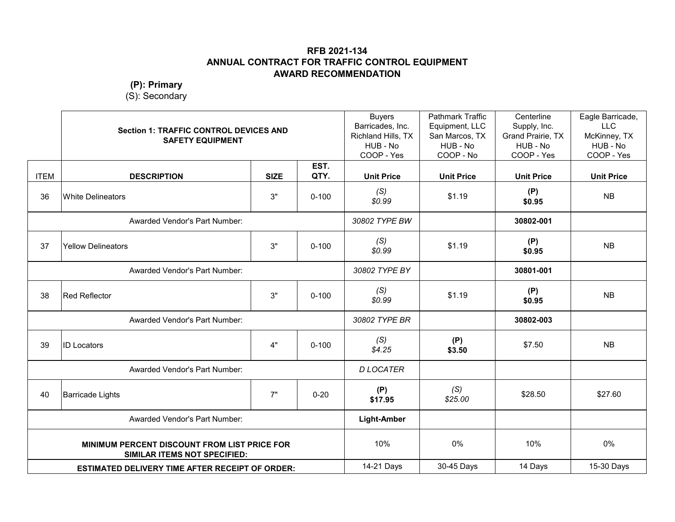#### **(P): Primary**

|             | <b>Section 1: TRAFFIC CONTROL DEVICES AND</b><br><b>SAFETY EQUIPMENT</b>                   |             |              | <b>Buyers</b><br>Barricades, Inc.<br>Richland Hills, TX<br>HUB - No<br>COOP - Yes | <b>Pathmark Traffic</b><br>Equipment, LLC<br>San Marcos, TX<br>HUB - No<br>COOP - No | Centerline<br>Supply, Inc.<br>Grand Prairie, TX<br>HUB - No<br>COOP - Yes | Eagle Barricade,<br><b>LLC</b><br>McKinney, TX<br>HUB - No<br>COOP - Yes |
|-------------|--------------------------------------------------------------------------------------------|-------------|--------------|-----------------------------------------------------------------------------------|--------------------------------------------------------------------------------------|---------------------------------------------------------------------------|--------------------------------------------------------------------------|
| <b>ITEM</b> | <b>DESCRIPTION</b>                                                                         | <b>SIZE</b> | EST.<br>QTY. | <b>Unit Price</b>                                                                 | <b>Unit Price</b>                                                                    | <b>Unit Price</b>                                                         | <b>Unit Price</b>                                                        |
| 36          | White Delineators                                                                          | 3"          | $0 - 100$    | (S)<br>\$0.99                                                                     | \$1.19                                                                               | (P)<br>\$0.95                                                             | <b>NB</b>                                                                |
|             | Awarded Vendor's Part Number:                                                              |             |              | 30802 TYPE BW                                                                     |                                                                                      | 30802-001                                                                 |                                                                          |
| 37          | <b>Yellow Delineators</b>                                                                  | 3"          | $0 - 100$    | (S)<br>\$0.99                                                                     | \$1.19                                                                               | (P)<br>\$0.95                                                             | <b>NB</b>                                                                |
|             | Awarded Vendor's Part Number:                                                              |             |              | 30802 TYPE BY                                                                     |                                                                                      | 30801-001                                                                 |                                                                          |
| 38          | <b>Red Reflector</b>                                                                       | 3"          | $0 - 100$    | (S)<br>\$0.99                                                                     | \$1.19                                                                               | (P)<br>\$0.95                                                             | <b>NB</b>                                                                |
|             | Awarded Vendor's Part Number:                                                              |             |              | 30802 TYPE BR                                                                     |                                                                                      | 30802-003                                                                 |                                                                          |
| 39          | <b>ID Locators</b>                                                                         | 4"          | $0 - 100$    | (S)<br>\$4.25                                                                     | (P)<br>\$3.50                                                                        | \$7.50                                                                    | <b>NB</b>                                                                |
|             | Awarded Vendor's Part Number:                                                              |             |              | <b>D LOCATER</b>                                                                  |                                                                                      |                                                                           |                                                                          |
| 40          | <b>Barricade Lights</b>                                                                    | 7"          | $0 - 20$     | (P)<br>\$17.95                                                                    | (S)<br>\$25.00                                                                       | \$28.50                                                                   | \$27.60                                                                  |
|             | Awarded Vendor's Part Number:                                                              |             |              | <b>Light-Amber</b>                                                                |                                                                                      |                                                                           |                                                                          |
|             | <b>MINIMUM PERCENT DISCOUNT FROM LIST PRICE FOR</b><br><b>SIMILAR ITEMS NOT SPECIFIED:</b> |             |              | 10%                                                                               | 0%                                                                                   | 10%                                                                       | 0%                                                                       |
|             | <b>ESTIMATED DELIVERY TIME AFTER RECEIPT OF ORDER:</b>                                     |             |              | 14-21 Days                                                                        | 30-45 Days                                                                           | 14 Days                                                                   | 15-30 Days                                                               |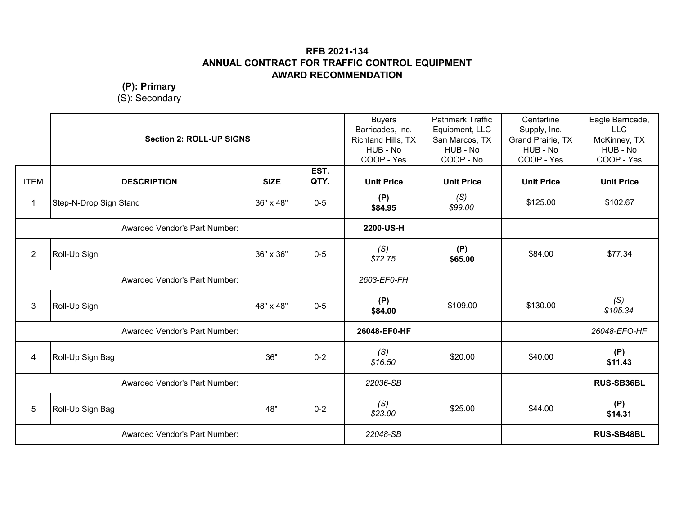**(P): Primary**

|                | <b>Section 2: ROLL-UP SIGNS</b> |             | <b>Buyers</b><br>Barricades, Inc.<br>Richland Hills, TX<br>HUB - No<br>COOP - Yes | <b>Pathmark Traffic</b><br>Equipment, LLC<br>San Marcos, TX<br>HUB - No<br>COOP - No | Centerline<br>Supply, Inc.<br>Grand Prairie, TX<br>HUB - No<br>COOP - Yes | Eagle Barricade,<br><b>LLC</b><br>McKinney, TX<br>HUB - No<br>COOP - Yes |                   |
|----------------|---------------------------------|-------------|-----------------------------------------------------------------------------------|--------------------------------------------------------------------------------------|---------------------------------------------------------------------------|--------------------------------------------------------------------------|-------------------|
| <b>ITEM</b>    | <b>DESCRIPTION</b>              | <b>SIZE</b> | EST.<br>QTY.                                                                      | <b>Unit Price</b>                                                                    | <b>Unit Price</b>                                                         | <b>Unit Price</b>                                                        | <b>Unit Price</b> |
| $\mathbf{1}$   | Step-N-Drop Sign Stand          | 36" x 48"   | $0-5$                                                                             | (P)<br>\$84.95                                                                       | (S)<br>\$99.00                                                            | \$125.00                                                                 | \$102.67          |
|                | Awarded Vendor's Part Number:   |             |                                                                                   | 2200-US-H                                                                            |                                                                           |                                                                          |                   |
| $\overline{2}$ | Roll-Up Sign                    | 36" x 36"   | $0-5$                                                                             | (S)<br>\$72.75                                                                       | (P)<br>\$65.00                                                            | \$84.00                                                                  | \$77.34           |
|                | Awarded Vendor's Part Number:   |             |                                                                                   | 2603-EF0-FH                                                                          |                                                                           |                                                                          |                   |
| 3              | Roll-Up Sign                    | 48" x 48"   | $0-5$                                                                             | (P)<br>\$84.00                                                                       | \$109.00                                                                  | \$130.00                                                                 | (S)<br>\$105.34   |
|                | Awarded Vendor's Part Number:   |             |                                                                                   | 26048-EF0-HF                                                                         |                                                                           |                                                                          | 26048-EFO-HF      |
| 4              | Roll-Up Sign Bag                | 36"         | $0 - 2$                                                                           | (S)<br>\$16.50                                                                       | \$20.00                                                                   | \$40.00                                                                  | (P)<br>\$11.43    |
|                | Awarded Vendor's Part Number:   |             |                                                                                   | 22036-SB                                                                             |                                                                           |                                                                          | RUS-SB36BL        |
| 5              | Roll-Up Sign Bag                | 48"         | $0 - 2$                                                                           | (S)<br>\$23.00                                                                       | \$25.00                                                                   | \$44.00                                                                  | (P)<br>\$14.31    |
|                | Awarded Vendor's Part Number:   |             |                                                                                   | 22048-SB                                                                             |                                                                           |                                                                          | <b>RUS-SB48BL</b> |